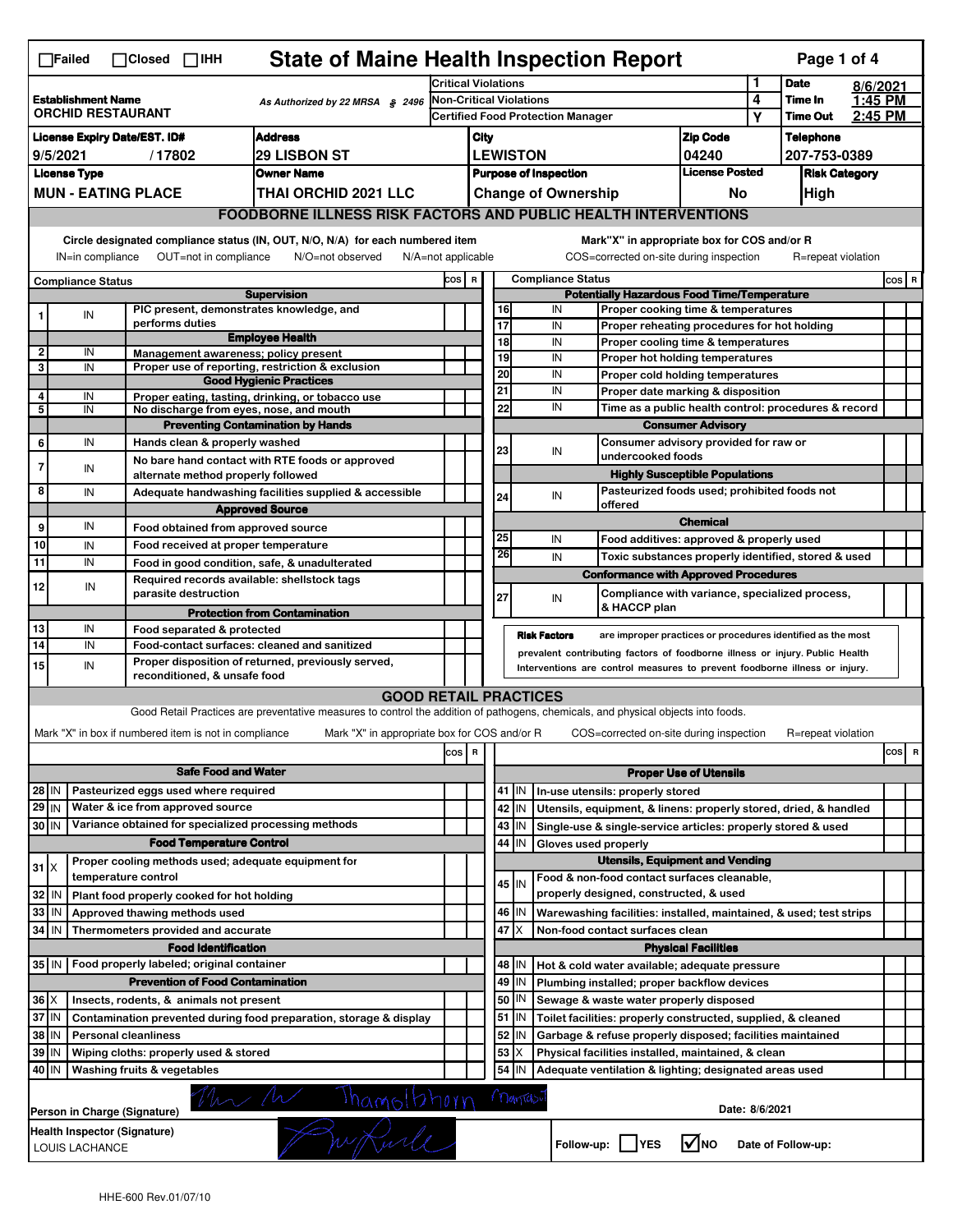| <b>State of Maine Health Inspection Report</b><br>Page 1 of 4<br>$\Box$ Failed<br>$\Box$ Closed<br>$\Box$ IHH                                                                                                                                                   |                                                                                                     |                                                       |                                                                                                                                   |                                                                                         |                                                             |                 |           |                                                            |                                                                            |                                       |              |                      |  |       |   |
|-----------------------------------------------------------------------------------------------------------------------------------------------------------------------------------------------------------------------------------------------------------------|-----------------------------------------------------------------------------------------------------|-------------------------------------------------------|-----------------------------------------------------------------------------------------------------------------------------------|-----------------------------------------------------------------------------------------|-------------------------------------------------------------|-----------------|-----------|------------------------------------------------------------|----------------------------------------------------------------------------|---------------------------------------|--------------|----------------------|--|-------|---|
|                                                                                                                                                                                                                                                                 |                                                                                                     |                                                       |                                                                                                                                   | <b>Critical Violations</b>                                                              |                                                             |                 |           |                                                            |                                                                            | 1                                     | <b>Date</b>  | 8/6/2021             |  |       |   |
| <b>Establishment Name</b><br><b>ORCHID RESTAURANT</b>                                                                                                                                                                                                           |                                                                                                     |                                                       | As Authorized by 22 MRSA \$2496                                                                                                   | Non-Critical Violations                                                                 |                                                             |                 |           |                                                            |                                                                            | 4                                     | Time In      | 1:45 PM              |  |       |   |
|                                                                                                                                                                                                                                                                 |                                                                                                     |                                                       |                                                                                                                                   | <b>Certified Food Protection Manager</b>                                                |                                                             |                 |           |                                                            | Υ                                                                          | <b>Time Out</b>                       | 2:45 PM      |                      |  |       |   |
| <b>Address</b><br><b>License Expiry Date/EST. ID#</b>                                                                                                                                                                                                           |                                                                                                     |                                                       |                                                                                                                                   |                                                                                         | City                                                        |                 |           |                                                            |                                                                            | <b>Zip Code</b>                       |              | <b>Telephone</b>     |  |       |   |
| 9/5/2021<br><b>29 LISBON ST</b><br>/17802                                                                                                                                                                                                                       |                                                                                                     |                                                       | <b>LEWISTON</b>                                                                                                                   |                                                                                         |                                                             |                 |           | 04240                                                      |                                                                            |                                       | 207-753-0389 |                      |  |       |   |
|                                                                                                                                                                                                                                                                 | <b>License Type</b>                                                                                 |                                                       | <b>Owner Name</b>                                                                                                                 | <b>Purpose of Inspection</b>                                                            |                                                             |                 |           |                                                            | <b>License Posted</b>                                                      |                                       |              | <b>Risk Category</b> |  |       |   |
|                                                                                                                                                                                                                                                                 |                                                                                                     | <b>MUN - EATING PLACE</b>                             | <b>THAI ORCHID 2021 LLC</b>                                                                                                       |                                                                                         | <b>Change of Ownership</b><br>No<br><b>High</b>             |                 |           |                                                            |                                                                            |                                       |              |                      |  |       |   |
|                                                                                                                                                                                                                                                                 | <b>FOODBORNE ILLNESS RISK FACTORS AND PUBLIC HEALTH INTERVENTIONS</b>                               |                                                       |                                                                                                                                   |                                                                                         |                                                             |                 |           |                                                            |                                                                            |                                       |              |                      |  |       |   |
| Circle designated compliance status (IN, OUT, N/O, N/A) for each numbered item<br>Mark"X" in appropriate box for COS and/or R<br>OUT=not in compliance<br>N/O=not observed<br>COS=corrected on-site during inspection<br>IN=in compliance<br>N/A=not applicable |                                                                                                     |                                                       |                                                                                                                                   |                                                                                         |                                                             |                 |           | R=repeat violation                                         |                                                                            |                                       |              |                      |  |       |   |
|                                                                                                                                                                                                                                                                 |                                                                                                     |                                                       |                                                                                                                                   |                                                                                         |                                                             |                 |           |                                                            |                                                                            |                                       |              |                      |  | COS R |   |
| <b>Compliance Status</b><br><b>Supervision</b>                                                                                                                                                                                                                  |                                                                                                     |                                                       |                                                                                                                                   | <b>Compliance Status</b><br>COS R<br><b>Potentially Hazardous Food Time/Temperature</b> |                                                             |                 |           |                                                            |                                                                            |                                       |              |                      |  |       |   |
|                                                                                                                                                                                                                                                                 | IN                                                                                                  |                                                       | PIC present, demonstrates knowledge, and                                                                                          |                                                                                         |                                                             | 16              |           | IN                                                         | Proper cooking time & temperatures                                         |                                       |              |                      |  |       |   |
|                                                                                                                                                                                                                                                                 |                                                                                                     | performs duties                                       |                                                                                                                                   |                                                                                         |                                                             | $\overline{17}$ |           | IN                                                         | Proper reheating procedures for hot holding                                |                                       |              |                      |  |       |   |
| $\overline{\mathbf{2}}$                                                                                                                                                                                                                                         | IN                                                                                                  |                                                       | <b>Employee Health</b>                                                                                                            |                                                                                         |                                                             | 18              |           | IN                                                         | Proper cooling time & temperatures                                         |                                       |              |                      |  |       |   |
| 3                                                                                                                                                                                                                                                               | IN                                                                                                  | Management awareness; policy present                  | Proper use of reporting, restriction & exclusion                                                                                  |                                                                                         |                                                             | 19              |           | IN                                                         | Proper hot holding temperatures                                            |                                       |              |                      |  |       |   |
|                                                                                                                                                                                                                                                                 |                                                                                                     |                                                       | <b>Good Hygienic Practices</b>                                                                                                    |                                                                                         |                                                             | $\overline{20}$ |           | IN                                                         | Proper cold holding temperatures                                           |                                       |              |                      |  |       |   |
| 4                                                                                                                                                                                                                                                               | IN                                                                                                  |                                                       | Proper eating, tasting, drinking, or tobacco use                                                                                  |                                                                                         |                                                             | 21              |           | IN                                                         | Proper date marking & disposition                                          |                                       |              |                      |  |       |   |
| 5                                                                                                                                                                                                                                                               | IN                                                                                                  | No discharge from eyes, nose, and mouth               |                                                                                                                                   |                                                                                         |                                                             | 22              |           | IN<br>Time as a public health control: procedures & record |                                                                            |                                       |              |                      |  |       |   |
|                                                                                                                                                                                                                                                                 |                                                                                                     |                                                       | <b>Preventing Contamination by Hands</b>                                                                                          |                                                                                         | <b>Consumer Advisory</b>                                    |                 |           |                                                            |                                                                            |                                       |              |                      |  |       |   |
| 6                                                                                                                                                                                                                                                               | IN                                                                                                  | Hands clean & properly washed                         |                                                                                                                                   |                                                                                         |                                                             | 23              |           | IN                                                         | Consumer advisory provided for raw or<br>undercooked foods                 |                                       |              |                      |  |       |   |
| $\overline{7}$                                                                                                                                                                                                                                                  | IN                                                                                                  |                                                       | No bare hand contact with RTE foods or approved                                                                                   |                                                                                         |                                                             |                 |           |                                                            |                                                                            | <b>Highly Susceptible Populations</b> |              |                      |  |       |   |
| 8                                                                                                                                                                                                                                                               | IN                                                                                                  | alternate method properly followed                    |                                                                                                                                   |                                                                                         |                                                             |                 |           |                                                            | Pasteurized foods used; prohibited foods not                               |                                       |              |                      |  |       |   |
|                                                                                                                                                                                                                                                                 |                                                                                                     |                                                       | Adequate handwashing facilities supplied & accessible<br><b>Approved Source</b>                                                   |                                                                                         |                                                             | 24              |           | IN                                                         | offered                                                                    |                                       |              |                      |  |       |   |
| 9                                                                                                                                                                                                                                                               | IN                                                                                                  |                                                       |                                                                                                                                   |                                                                                         |                                                             |                 |           |                                                            |                                                                            | <b>Chemical</b>                       |              |                      |  |       |   |
| 10                                                                                                                                                                                                                                                              |                                                                                                     | Food obtained from approved source                    |                                                                                                                                   |                                                                                         |                                                             | 25              |           | IN                                                         | Food additives: approved & properly used                                   |                                       |              |                      |  |       |   |
| 11                                                                                                                                                                                                                                                              | IN<br>IN                                                                                            | Food received at proper temperature                   |                                                                                                                                   |                                                                                         |                                                             | 26              |           | IN                                                         | Toxic substances properly identified, stored & used                        |                                       |              |                      |  |       |   |
|                                                                                                                                                                                                                                                                 |                                                                                                     |                                                       | Food in good condition, safe, & unadulterated<br>Required records available: shellstock tags                                      |                                                                                         |                                                             |                 |           |                                                            | <b>Conformance with Approved Procedures</b>                                |                                       |              |                      |  |       |   |
| 12                                                                                                                                                                                                                                                              | IN                                                                                                  | parasite destruction                                  |                                                                                                                                   |                                                                                         |                                                             | 27              |           | IN                                                         | Compliance with variance, specialized process,                             |                                       |              |                      |  |       |   |
|                                                                                                                                                                                                                                                                 |                                                                                                     |                                                       | <b>Protection from Contamination</b>                                                                                              |                                                                                         |                                                             |                 |           |                                                            | & HACCP plan                                                               |                                       |              |                      |  |       |   |
| 13                                                                                                                                                                                                                                                              | IN                                                                                                  | Food separated & protected                            |                                                                                                                                   |                                                                                         |                                                             |                 |           |                                                            |                                                                            |                                       |              |                      |  |       |   |
| <b>Risk Factors</b><br>14<br>IN<br>Food-contact surfaces: cleaned and sanitized<br>prevalent contributing factors of foodborne illness or injury. Public Health                                                                                                 |                                                                                                     |                                                       |                                                                                                                                   |                                                                                         | are improper practices or procedures identified as the most |                 |           |                                                            |                                                                            |                                       |              |                      |  |       |   |
| 15                                                                                                                                                                                                                                                              | IN                                                                                                  |                                                       | Proper disposition of returned, previously served,                                                                                |                                                                                         |                                                             |                 |           |                                                            | Interventions are control measures to prevent foodborne illness or injury. |                                       |              |                      |  |       |   |
|                                                                                                                                                                                                                                                                 |                                                                                                     | reconditioned, & unsafe food                          |                                                                                                                                   |                                                                                         |                                                             |                 |           |                                                            |                                                                            |                                       |              |                      |  |       |   |
|                                                                                                                                                                                                                                                                 |                                                                                                     |                                                       | <b>GOOD RETAIL PRACTICES</b>                                                                                                      |                                                                                         |                                                             |                 |           |                                                            |                                                                            |                                       |              |                      |  |       |   |
|                                                                                                                                                                                                                                                                 |                                                                                                     |                                                       | Good Retail Practices are preventative measures to control the addition of pathogens, chemicals, and physical objects into foods. |                                                                                         |                                                             |                 |           |                                                            |                                                                            |                                       |              |                      |  |       |   |
|                                                                                                                                                                                                                                                                 |                                                                                                     | Mark "X" in box if numbered item is not in compliance | Mark "X" in appropriate box for COS and/or R                                                                                      |                                                                                         |                                                             |                 |           |                                                            | COS=corrected on-site during inspection                                    |                                       |              | R=repeat violation   |  |       |   |
|                                                                                                                                                                                                                                                                 |                                                                                                     |                                                       |                                                                                                                                   | cos                                                                                     | $\overline{\mathbf{R}}$                                     |                 |           |                                                            |                                                                            |                                       |              |                      |  | cos   | R |
|                                                                                                                                                                                                                                                                 |                                                                                                     | <b>Safe Food and Water</b>                            |                                                                                                                                   |                                                                                         |                                                             |                 |           |                                                            |                                                                            | <b>Proper Use of Utensils</b>         |              |                      |  |       |   |
| 28 IN                                                                                                                                                                                                                                                           |                                                                                                     | Pasteurized eggs used where required                  |                                                                                                                                   |                                                                                         |                                                             |                 | $41$ M    |                                                            | In-use utensils: properly stored                                           |                                       |              |                      |  |       |   |
| $29$ IN                                                                                                                                                                                                                                                         |                                                                                                     | Water & ice from approved source                      |                                                                                                                                   |                                                                                         |                                                             |                 | 42 IN     |                                                            | Utensils, equipment, & linens: properly stored, dried, & handled           |                                       |              |                      |  |       |   |
| 30 IN                                                                                                                                                                                                                                                           |                                                                                                     | Variance obtained for specialized processing methods  |                                                                                                                                   |                                                                                         |                                                             | 43              | IN        |                                                            | Single-use & single-service articles: properly stored & used               |                                       |              |                      |  |       |   |
|                                                                                                                                                                                                                                                                 |                                                                                                     | <b>Food Temperature Control</b>                       |                                                                                                                                   |                                                                                         |                                                             | 44              | IN        | Gloves used properly                                       |                                                                            |                                       |              |                      |  |       |   |
| $31$ $X$                                                                                                                                                                                                                                                        |                                                                                                     | Proper cooling methods used; adequate equipment for   |                                                                                                                                   |                                                                                         |                                                             |                 |           |                                                            | <b>Utensils, Equipment and Vending</b>                                     |                                       |              |                      |  |       |   |
|                                                                                                                                                                                                                                                                 |                                                                                                     | temperature control                                   |                                                                                                                                   |                                                                                         |                                                             |                 | 45 IN     |                                                            | Food & non-food contact surfaces cleanable,                                |                                       |              |                      |  |       |   |
| 32 IN                                                                                                                                                                                                                                                           |                                                                                                     | Plant food properly cooked for hot holding            |                                                                                                                                   |                                                                                         |                                                             |                 |           |                                                            | properly designed, constructed, & used                                     |                                       |              |                      |  |       |   |
| 33                                                                                                                                                                                                                                                              | l IN                                                                                                | Approved thawing methods used                         |                                                                                                                                   |                                                                                         |                                                             |                 | 46   IN   |                                                            | Warewashing facilities: installed, maintained, & used; test strips         |                                       |              |                      |  |       |   |
| $34$ IN                                                                                                                                                                                                                                                         |                                                                                                     | Thermometers provided and accurate                    |                                                                                                                                   |                                                                                         |                                                             | 47              | X         |                                                            | Non-food contact surfaces clean                                            |                                       |              |                      |  |       |   |
|                                                                                                                                                                                                                                                                 |                                                                                                     | <b>Food Identification</b>                            |                                                                                                                                   |                                                                                         |                                                             |                 |           |                                                            |                                                                            | <b>Physical Facilities</b>            |              |                      |  |       |   |
| 35 IN   Food properly labeled; original container                                                                                                                                                                                                               |                                                                                                     |                                                       |                                                                                                                                   |                                                                                         |                                                             |                 | 48   IN   |                                                            | Hot & cold water available; adequate pressure                              |                                       |              |                      |  |       |   |
| <b>Prevention of Food Contamination</b>                                                                                                                                                                                                                         |                                                                                                     |                                                       |                                                                                                                                   |                                                                                         |                                                             | 49 IN           |           | Plumbing installed; proper backflow devices                |                                                                            |                                       |              |                      |  |       |   |
| $36$ $\times$                                                                                                                                                                                                                                                   |                                                                                                     | Insects, rodents, & animals not present               |                                                                                                                                   |                                                                                         |                                                             |                 | 50 IN     |                                                            | Sewage & waste water properly disposed                                     |                                       |              |                      |  |       |   |
| $37$ IN                                                                                                                                                                                                                                                         |                                                                                                     |                                                       | Contamination prevented during food preparation, storage & display                                                                |                                                                                         |                                                             | 51              | IN        |                                                            | Toilet facilities: properly constructed, supplied, & cleaned               |                                       |              |                      |  |       |   |
| 38 IN                                                                                                                                                                                                                                                           |                                                                                                     | <b>Personal cleanliness</b>                           |                                                                                                                                   |                                                                                         |                                                             |                 | $52$   IN |                                                            | Garbage & refuse properly disposed; facilities maintained                  |                                       |              |                      |  |       |   |
| 39 IN                                                                                                                                                                                                                                                           |                                                                                                     | Wiping cloths: properly used & stored                 |                                                                                                                                   |                                                                                         |                                                             | 53              | IX.       |                                                            | Physical facilities installed, maintained, & clean                         |                                       |              |                      |  |       |   |
| 40 IN                                                                                                                                                                                                                                                           |                                                                                                     | Washing fruits & vegetables                           |                                                                                                                                   |                                                                                         |                                                             |                 | $54$ IN   |                                                            | Adequate ventilation & lighting; designated areas used                     |                                       |              |                      |  |       |   |
| The M Thamolthorn<br>Mantasi<br>Date: 8/6/2021<br>Person in Charge (Signature)                                                                                                                                                                                  |                                                                                                     |                                                       |                                                                                                                                   |                                                                                         |                                                             |                 |           |                                                            |                                                                            |                                       |              |                      |  |       |   |
|                                                                                                                                                                                                                                                                 | Health Inspector (Signature)<br>l√lno<br>Follow-up:     YES<br>Date of Follow-up:<br>LOUIS LACHANCE |                                                       |                                                                                                                                   |                                                                                         |                                                             |                 |           |                                                            |                                                                            |                                       |              |                      |  |       |   |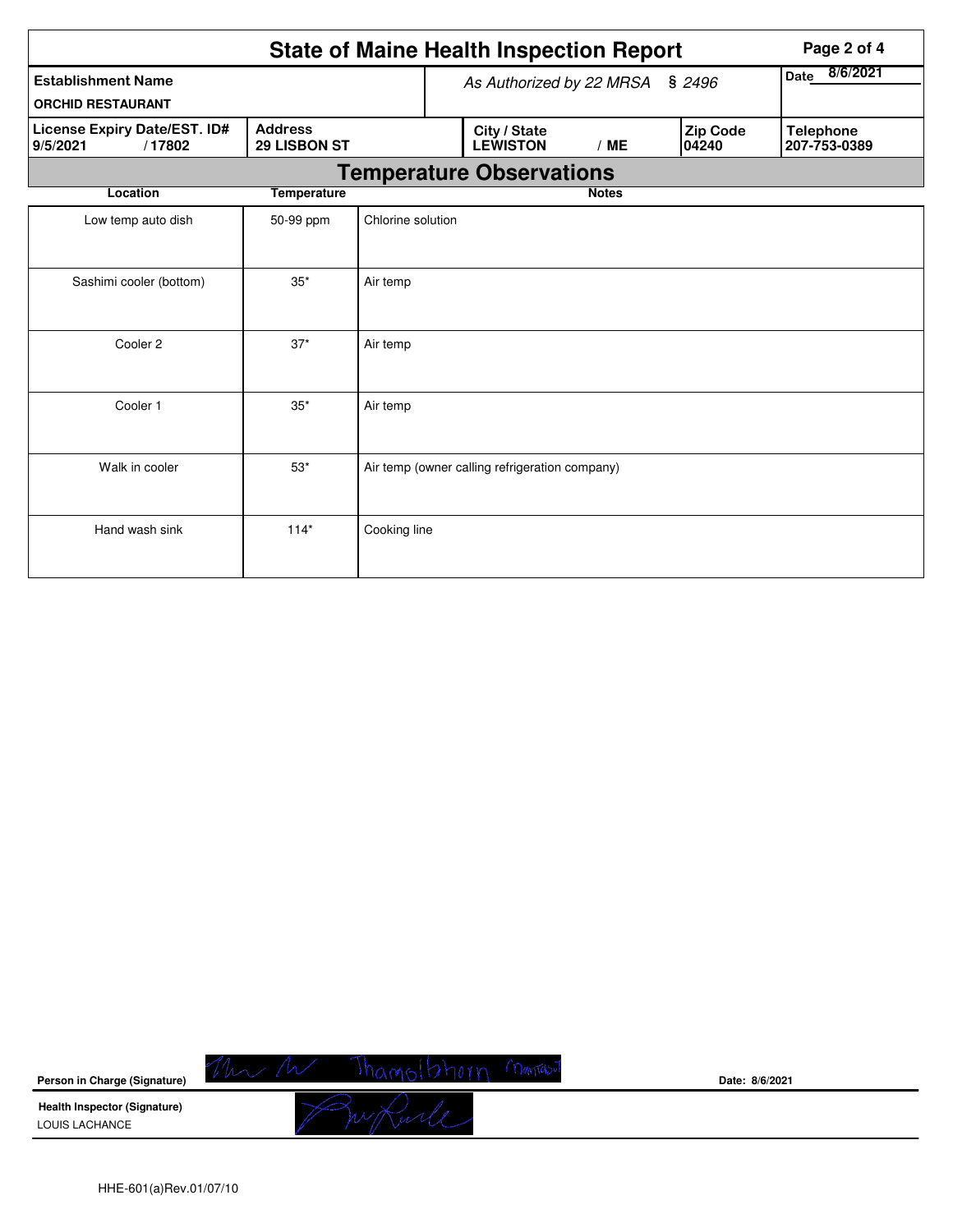| <b>State of Maine Health Inspection Report</b>        |                                |                                 |  |                                                |              |                  |                   | Page 2 of 4                      |  |  |
|-------------------------------------------------------|--------------------------------|---------------------------------|--|------------------------------------------------|--------------|------------------|-------------------|----------------------------------|--|--|
| <b>Establishment Name</b><br><b>ORCHID RESTAURANT</b> |                                | As Authorized by 22 MRSA § 2496 |  |                                                |              | 8/6/2021<br>Date |                   |                                  |  |  |
| License Expiry Date/EST. ID#<br>/17802<br>9/5/2021    | <b>Address</b><br>29 LISBON ST |                                 |  | City / State<br><b>LEWISTON</b>                | /ME          |                  | Zip Code<br>04240 | <b>Telephone</b><br>207-753-0389 |  |  |
| <b>Temperature Observations</b>                       |                                |                                 |  |                                                |              |                  |                   |                                  |  |  |
| Location                                              | <b>Temperature</b>             |                                 |  |                                                | <b>Notes</b> |                  |                   |                                  |  |  |
| Low temp auto dish                                    | 50-99 ppm                      | Chlorine solution               |  |                                                |              |                  |                   |                                  |  |  |
| Sashimi cooler (bottom)                               | $35*$                          | Air temp                        |  |                                                |              |                  |                   |                                  |  |  |
| Cooler 2                                              | $37*$                          | Air temp                        |  |                                                |              |                  |                   |                                  |  |  |
| Cooler 1                                              | $35*$                          | Air temp                        |  |                                                |              |                  |                   |                                  |  |  |
| Walk in cooler                                        | $53*$                          |                                 |  | Air temp (owner calling refrigeration company) |              |                  |                   |                                  |  |  |
| Hand wash sink                                        | $114*$                         | Cooking line                    |  |                                                |              |                  |                   |                                  |  |  |

| Person in Charge (Signature)                          | Date: 8/6/2021 |
|-------------------------------------------------------|----------------|
| <b>Health Inspector (Signature)</b><br>LOUIS LACHANCE |                |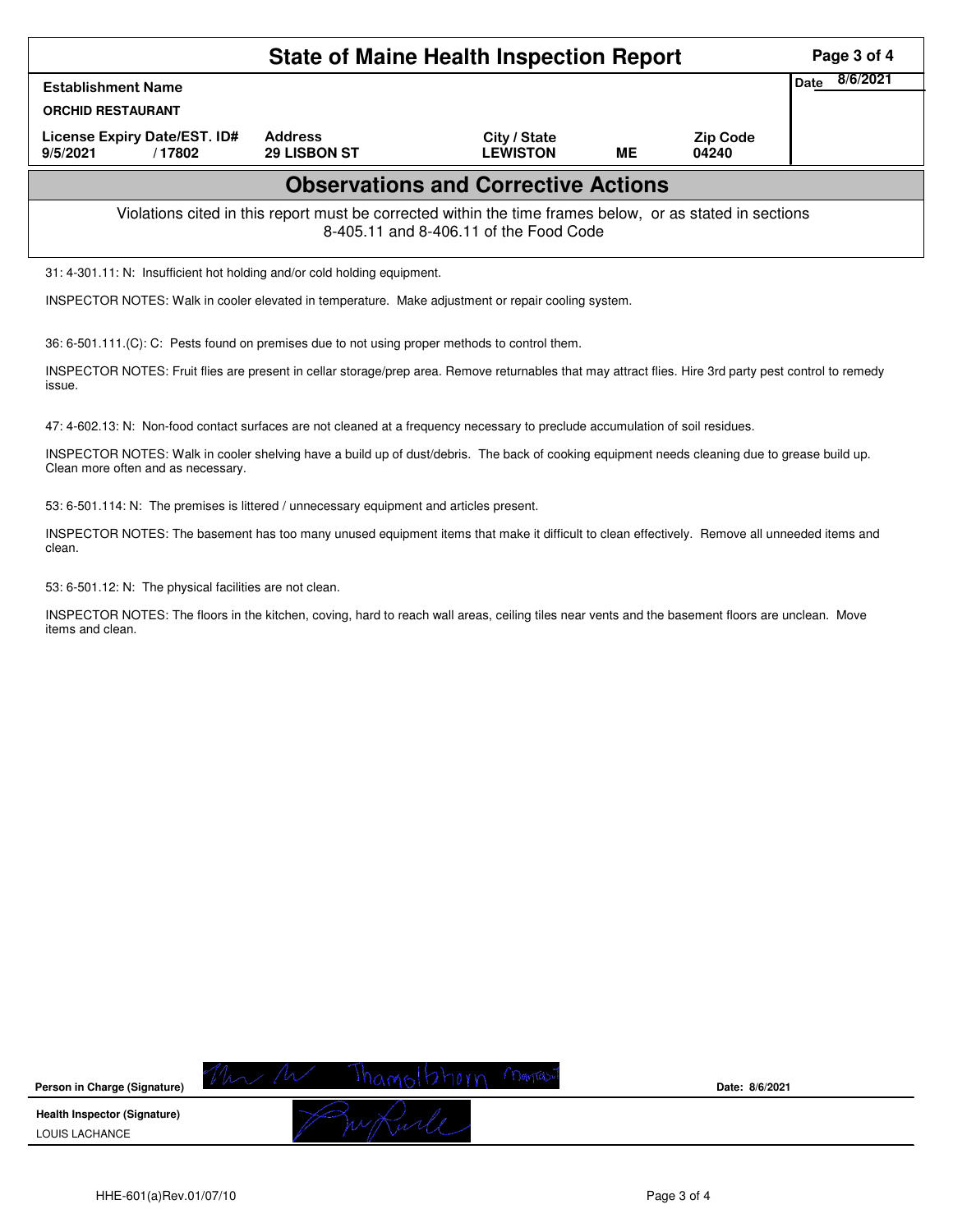| <b>State of Maine Health Inspection Report</b>                                                                                                     |                     |                                 |           |                          |                  |  |  |  |  |
|----------------------------------------------------------------------------------------------------------------------------------------------------|---------------------|---------------------------------|-----------|--------------------------|------------------|--|--|--|--|
| <b>Establishment Name</b>                                                                                                                          |                     |                                 |           |                          | 8/6/2021<br>Date |  |  |  |  |
| <b>ORCHID RESTAURANT</b><br>License Expiry Date/EST. ID#                                                                                           | <b>Address</b>      |                                 |           |                          |                  |  |  |  |  |
| 9/5/2021<br>/17802                                                                                                                                 | <b>29 LISBON ST</b> | City / State<br><b>LEWISTON</b> | <b>ME</b> | <b>Zip Code</b><br>04240 |                  |  |  |  |  |
| <b>Observations and Corrective Actions</b>                                                                                                         |                     |                                 |           |                          |                  |  |  |  |  |
| Violations cited in this report must be corrected within the time frames below, or as stated in sections<br>8-405.11 and 8-406.11 of the Food Code |                     |                                 |           |                          |                  |  |  |  |  |
| 31: 4-301.11: N: Insufficient hot holding and/or cold holding equipment.                                                                           |                     |                                 |           |                          |                  |  |  |  |  |

INSPECTOR NOTES: Walk in cooler elevated in temperature. Make adjustment or repair cooling system.

36: 6-501.111.(C): C: Pests found on premises due to not using proper methods to control them.

INSPECTOR NOTES: Fruit flies are present in cellar storage/prep area. Remove returnables that may attract flies. Hire 3rd party pest control to remedy issue.

47: 4-602.13: N: Non-food contact surfaces are not cleaned at a frequency necessary to preclude accumulation of soil residues.

INSPECTOR NOTES: Walk in cooler shelving have a build up of dust/debris. The back of cooking equipment needs cleaning due to grease build up. Clean more often and as necessary.

53: 6-501.114: N: The premises is littered / unnecessary equipment and articles present.

INSPECTOR NOTES: The basement has too many unused equipment items that make it difficult to clean effectively. Remove all unneeded items and clean.

53: 6-501.12: N: The physical facilities are not clean.

INSPECTOR NOTES: The floors in the kitchen, coving, hard to reach wall areas, ceiling tiles near vents and the basement floors are unclean. Move items and clean.